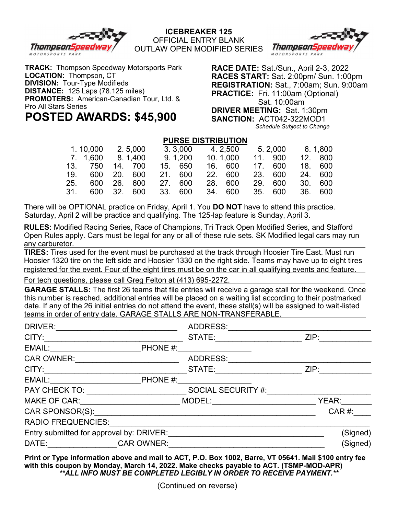

**ICEBREAKER 125** OFFICIAL ENTRY BLANK





**TRACK:** Thompson Speedway Motorsports Park **LOCATION:** Thompson, CT **DIVISION:** Tour-Type Modifieds **DISTANCE:** 125 Laps (78.125 miles) **PROMOTERS:** American-Canadian Tour, Ltd. & Pro All Stars Series **POSTED AWARDS: \$45,900**

**RACE DATE:** Sat./Sun., April 2-3, 2022 **RACES START:** Sat. 2:00pm/ Sun. 1:00pm **REGISTRATION:** Sat., 7:00am; Sun. 9:00am **PRACTICE:** Fri. 11:00am (Optional) Sat. 10:00am **DRIVER MEETING:** Sat. 1:30pm **SANCTION:** ACT042-322MOD1 *Schedule Subject to Change*

## **PURSE DISTRIBUTION**

|     | 1.10,000        |     | 2.5,000    | 3.3,000 | 4.2.500  | 5. 2,000 | 6. 1.800 |
|-----|-----------------|-----|------------|---------|----------|----------|----------|
|     | 7. 1.600        |     | 8.1,400    | 9.1,200 | 10.1.000 | 11. 900  | 12. 800  |
|     | 13. 750         |     | 14. 700    | 15. 650 | 16. 600  | 17. 600  | 18. 600  |
|     | 19. 600 20. 600 |     |            | 21. 600 | 22. 600  | 23. 600  | 24. 600  |
| 25. | 600             | 26. | 600        | 27. 600 | 28. 600  | 29. 600  | 30. 600  |
| 31. |                 |     | 600 32 600 | 33. 600 | 34. 600  | 35. 600  | 36. 600  |
|     |                 |     |            |         |          |          |          |

There will be OPTIONAL practice on Friday, April 1. You **DO NOT** have to attend this practice. Saturday, April 2 will be practice and qualifying. The 125-lap feature is Sunday, April 3.

**RULES:** Modified Racing Series, Race of Champions, Tri Track Open Modified Series, and Stafford Open Rules apply. Cars must be legal for any or all of these rule sets. SK Modified legal cars may run any carburetor.

**TIRES:** Tires used for the event must be purchased at the track through Hoosier Tire East. Must run Hoosier 1320 tire on the left side and Hoosier 1330 on the right side. Teams may have up to eight tires registered for the event. Four of the eight tires must be on the car in all qualifying events and feature.

For tech questions, please call Greg Felton at (413) 695-2272.

**GARAGE STALLS:** The first 26 teams that file entries will receive a garage stall for the weekend. Once this number is reached, additional entries will be placed on a waiting list according to their postmarked date. If any of the 26 initial entries do not attend the event, these stall(s) will be assigned to wait-listed teams in order of entry date. GARAGE STALLS ARE NON-TRANSFERABLE.

| DRIVER:                                  |                   | ADDRESS:           |          |
|------------------------------------------|-------------------|--------------------|----------|
| CITY:                                    |                   | STATE:             | ZIP:     |
| EMAIL:                                   | PHONE #:          |                    |          |
| <b>CAR OWNER:</b>                        |                   | ADDRESS:           |          |
| CITY:                                    |                   | STATE:             | ZIP:     |
| EMAIL:                                   | PHONE #:          |                    |          |
| PAY CHECK TO:                            |                   | SOCIAL SECURITY #: |          |
| <b>MAKE OF CAR:</b>                      |                   | MODEL:             | YEAR:    |
| CAR SPONSOR(S):                          |                   |                    | $CAR$ #: |
| <b>RADIO FREQUENCIES:</b>                |                   |                    |          |
| Entry submitted for approval by: DRIVER: |                   |                    | (Signed) |
| DATE:                                    | <b>CAR OWNER:</b> |                    | (Signed) |

**Print or Type information above and mail to ACT, P.O. Box 1002, Barre, VT 05641. Mail \$100 entry fee with this coupon by Monday, March 14, 2022. Make checks payable to ACT. (TSMP-MOD-APR)** *\*\*ALL INFO MUST BE COMPLETED LEGIBLY IN ORDER TO RECEIVE PAYMENT.\*\**